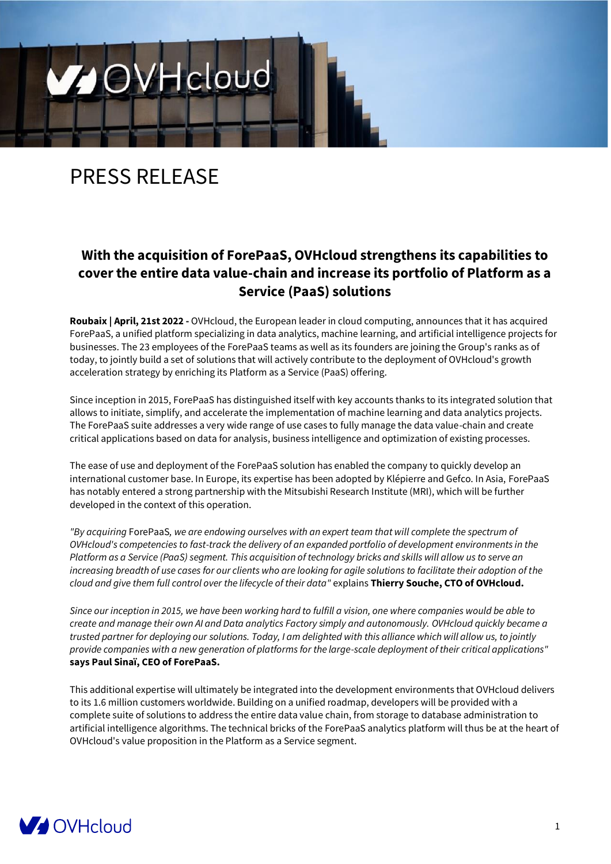# PRESS RELEASE

V OVH cloud

# **With the acquisition of ForePaaS, OVHcloud strengthens its capabilities to cover the entire data value-chain and increase its portfolio of Platform as a Service (PaaS) solutions**

**Roubaix | April, 21st 2022 -** OVHcloud, the European leader in cloud computing, announces that it has acquired ForePaaS, a unified platform specializing in data analytics, machine learning, and artificial intelligence projects for businesses. The 23 employees of the ForePaaS teams as well as its founders are joining the Group's ranks as of today, to jointly build a set of solutions that will actively contribute to the deployment of OVHcloud's growth acceleration strategy by enriching its Platform as a Service (PaaS) offering.

Since inception in 2015, ForePaaS has distinguished itself with key accounts thanks to its integrated solution that allows to initiate, simplify, and accelerate the implementation of machine learning and data analytics projects. The ForePaaS suite addresses a very wide range of use cases to fully manage the data value-chain and create critical applications based on data for analysis, business intelligence and optimization of existing processes.

The ease of use and deployment of the ForePaaS solution has enabled the company to quickly develop an international customer base. In Europe, its expertise has been adopted by Klépierre and Gefco. In Asia, ForePaaS has notably entered a strong partnership with the Mitsubishi Research Institute (MRI), which will be further developed in the context of this operation.

*"By acquiring* ForePaaS*, we are endowing ourselves with an expert team that will complete the spectrum of OVHcloud's competencies to fast-track the delivery of an expanded portfolio of development environments in the Platform as a Service (PaaS) segment. This acquisition of technology bricks and skills will allow us to serve an increasing breadth of use cases for our clients who are looking for agile solutions to facilitate their adoption of the cloud and give them full control over the lifecycle of their data"* explains **Thierry Souche, CTO of OVHcloud.**

*Since our inception in 2015, we have been working hard to fulfill a vision, one where companies would be able to create and manage their own AI and Data analytics Factory simply and autonomously. OVHcloud quickly became a trusted partner for deploying our solutions. Today, I am delighted with this alliance which will allow us, to jointly provide companies with a new generation of platforms for the large-scale deployment of their critical applications"*  **says Paul Sinaï, CEO of ForePaaS.**

This additional expertise will ultimately be integrated into the development environments that OVHcloud delivers to its 1.6 million customers worldwide. Building on a unified roadmap, developers will be provided with a complete suite of solutions to address the entire data value chain, from storage to database administration to artificial intelligence algorithms. The technical bricks of the ForePaaS analytics platform will thus be at the heart of OVHcloud's value proposition in the Platform as a Service segment.